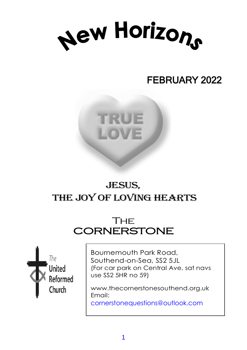

# FEBRUARY 2022



# JESUS, THE JOY OF LOVING HEARTS

# **THE CORNERSTONE**



Bournemouth Park Road, Southend-on-Sea, SS2 5JL (For car park on Central Ave, sat navs use SS2 5HR no 59)

www.thecornerstonesouthend.org.uk Email: cornerstonequestions@outlook.com

*Minister:* Rev. SOHAIL EJAZ MA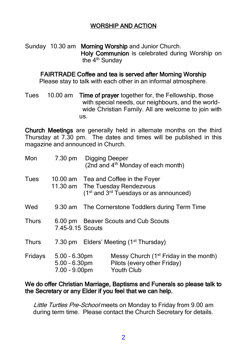### WORSHIP AND ACTION

Sunday 10.30 am Morning Worship and Junior Church. Holy Communion is celebrated during Worship on the 4<sup>th</sup> Sunday

#### FAIRTRADE Coffee and tea is served after Morning Worship

Please stay to talk with each other in an informal atmosphere.

Tues 10.00 am Time of prayer together for, the Fellowship, those with special needs, our neighbours, and the world wide Christian Family. All are welcome to join with us.

Church Meetings are generally held in alternate months on the third Thursday at 7.30 pm. The dates and times will be published in this magazine and announced in Church.

| Mon          | 7.30 pm Digging Deeper                               |                                      | (2nd and 4 <sup>th</sup> Monday of each month)                                                                                            |
|--------------|------------------------------------------------------|--------------------------------------|-------------------------------------------------------------------------------------------------------------------------------------------|
| Tues         |                                                      |                                      | 10.00 am Tea and Coffee in the Foyer<br>11.30 am The Tuesday Rendezvous<br>(1 <sup>st</sup> and 3 <sup>rd</sup> Tuesdays or as announced) |
| Wed          |                                                      |                                      | 9.30 am The Cornerstone Toddlers during Term Time                                                                                         |
| <b>Thurs</b> | 7.45-9.15 Scouts                                     | 6.00 pm Beaver Scouts and Cub Scouts |                                                                                                                                           |
| <b>Thurs</b> |                                                      |                                      | 7.30 pm Elders' Meeting (1 <sup>st</sup> Thursday)                                                                                        |
| Fridays      | 5.00 - 6.30pm<br>$5.00 - 6.30$ pm<br>$7.00 - 9.00pm$ |                                      | Messy Church (1 <sup>st</sup> Friday in the month)<br>Pilots (every other Friday)<br><b>Youth Club</b>                                    |

#### We do offer Christian Marriage, Baptisms and Funerals so please talk to the Secretary or any Elder if you feel that we can help.

Little Turtles Pre-School meets on Monday to Friday from 9.00 am during term time. Please contact the Church Secretary for details.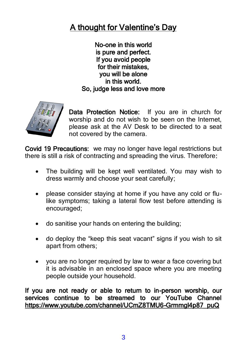# A thought for Valentine's Day

No-one in this world is pure and perfect. If you avoid people for their mistakes, you will be alone in this world. So, judge less and love more



Data Protection Notice: If you are in church for worship and do not wish to be seen on the Internet, please ask at the AV Desk to be directed to a seat not covered by the camera.

Covid 19 Precautions: we may no longer have legal restrictions but there is still a risk of contracting and spreading the virus. Therefore:

- The building will be kept well ventilated. You may wish to dress warmly and choose your seat carefully;
- please consider staying at home if you have any cold or flulike symptoms; taking a lateral flow test before attending is encouraged;
- do sanitise your hands on entering the building;
- do deploy the "keep this seat vacant" signs if you wish to sit apart from others;
- you are no longer required by law to wear a face covering but it is advisable in an enclosed space where you are meeting people outside your household.

If you are not ready or able to return to in-person worship, our services continue to be streamed to our YouTube Channel [https://www.youtube.com/channel/UCmZ8TMU6-Grmmgl4p87\\_puQ](https://www.youtube.com/channel/UCmZ8TMU6-Grmmgl4p87_puQ)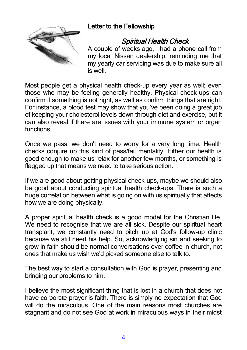### Letter to the Fellowship



## Spiritual Health Check

A couple of weeks ago, I had a phone call from my local Nissan dealership, reminding me that my yearly car servicing was due to make sure all is well.

Most people get a physical health check-up every year as well; even those who may be feeling generally healthy. Physical check-ups can confirm if something is not right, as well as confirm things that are right. For instance, a blood test may show that you've been doing a great job of keeping your cholesterol levels down through diet and exercise, but it can also reveal if there are issues with your immune system or organ functions.

Once we pass, we don't need to worry for a very long time. Health checks conjure up this kind of pass/fail mentality. Either our health is good enough to make us relax for another few months, or something is flagged up that means we need to take serious action.

If we are good about getting physical check-ups, maybe we should also be good about conducting spiritual health check-ups. There is such a huge correlation between what is going on with us spiritually that affects how we are doing physically.

A proper spiritual health check is a good model for the Christian life. We need to recognise that we are all sick. Despite our spiritual heart transplant, we constantly need to pitch up at God's follow-up clinic because we still need his help. So, acknowledging sin and seeking to grow in faith should be normal conversations over coffee in church, not ones that make us wish we'd picked someone else to talk to.

The best way to start a consultation with God is prayer, presenting and bringing our problems to him.

I believe the most significant thing that is lost in a church that does not have corporate prayer is faith. There is simply no expectation that God will do the miraculous. One of the main reasons most churches are stagnant and do not see God at work in miraculous ways in their midst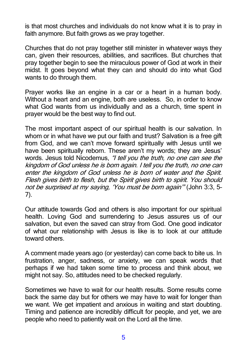is that most churches and individuals do not know what it is to pray in faith anymore. But faith grows as we pray together.

Churches that do not pray together still minister in whatever ways they can, given their resources, abilities, and sacrifices. But churches that pray together begin to see the miraculous power of God at work in their midst. It goes beyond what they can and should do into what God wants to do through them.

Prayer works like an engine in a car or a heart in a human body. Without a heart and an engine, both are useless. So, in order to know what God wants from us individually and as a church, time spent in prayer would be the best way to find out.

The most important aspect of our spiritual health is our salvation. In whom or in what have we put our faith and trust? Salvation is a free gift from God, and we can't move forward spiritually with Jesus until we have been spiritually reborn. These aren't my words; they are Jesus' words. Jesus told Nicodemus, "I tell you the truth, no one can see the kingdom of God unless he is born again. I tell you the truth, no one can enter the kingdom of God unless he is born of water and the Spirit. Flesh gives birth to flesh, but the Spirit gives birth to spirit. You should not be surprised at my saying, 'You must be born again'" (John 3:3, 5– 7).

Our attitude towards God and others is also important for our spiritual health. Loving God and surrendering to Jesus assures us of our salvation, but even the saved can stray from God. One good indicator of what our relationship with Jesus is like is to look at our attitude toward others.

A comment made years ago (or yesterday) can come back to bite us. In frustration, anger, sadness, or anxiety, we can speak words that perhaps if we had taken some time to process and think about, we might not say. So, attitudes need to be checked regularly.

Sometimes we have to wait for our health results. Some results come back the same day but for others we may have to wait for longer than we want. We get impatient and anxious in waiting and start doubting. Timing and patience are incredibly difficult for people, and yet, we are people who need to patiently wait on the Lord all the time.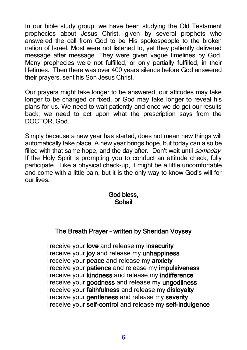In our bible study group, we have been studying the Old Testament prophecies about Jesus Christ, given by several prophets who answered the call from God to be His spokespeople to the broken nation of Israel. Most were not listened to, yet they patiently delivered message after message. They were given vague timelines by God. Many prophecies were not fulfilled, or only partially fulfilled, in their lifetimes. Then there was over 400 years silence before God answered their prayers, sent his Son Jesus Christ.

Our prayers might take longer to be answered, our attitudes may take longer to be changed or fixed, or God may take longer to reveal his plans for us. We need to wait patiently and once we do get our results back; we need to act upon what the prescription says from the DOCTOR, God.

Simply because a new year has started, does not mean new things will automatically take place. A new year brings hope, but today can also be filled with that same hope, and the day after. Don't wait until *someday*. If the Holy Spirit is prompting you to conduct an attitude check, fully participate. Like a physical check-up, it might be a little uncomfortable and come with a little pain, but it is the only way to know God's will for our lives.

### God bless, Sohail

### The Breath Prayer – written by Sheridan Voysey

I receive your love and release my insecurity I receive your joy and release my unhappiness I receive your peace and release my anxiety I receive your patience and release my impulsiveness I receive your kindness and release my indifference I receive your goodness and release my ungodliness I receive your faithfulness and release my disloyalty I receive your gentleness and release my severity I receive your self-control and release my self-indulgence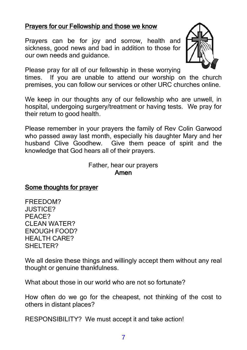### Prayers for our Fellowship and those we know

Prayers can be for joy and sorrow, health and sickness, good news and bad in addition to those for our own needs and guidance.



Please pray for all of our fellowship in these worrying

times. If you are unable to attend our worship on the church premises, you can follow our services or other URC churches online.

We keep in our thoughts any of our fellowship who are unwell, in hospital, undergoing surgery/treatment or having tests. We pray for their return to good health.

Please remember in your prayers the family of Rev Colin Garwood who passed away last month, especially his daughter Mary and her husband Clive Goodhew. Give them peace of spirit and the knowledge that God hears all of their prayers.

> Father, hear our prayers Amen

### Some thoughts for prayer

FREEDOM? JUSTICE? PEACE? CLEAN WATER? ENOUGH FOOD? HEALTH CARE? SHELTER?

We all desire these things and willingly accept them without any real thought or genuine thankfulness.

What about those in our world who are not so fortunate?

How often do we go for the cheapest, not thinking of the cost to others in distant places?

RESPONSIBILITY? We must accept it and take action!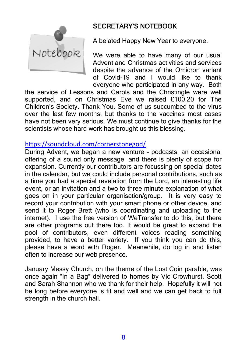

# SECRETARY'S NOTEBOOK

A belated Happy New Year to everyone.

We were able to have many of our usual Advent and Christmas activities and services despite the advance of the Omicron variant of Covid-19 and I would like to thank everyone who participated in any way. Both

the service of Lessons and Carols and the Christingle were well supported, and on Christmas Eve we raised £100.20 for The Children's Society. Thank You. Some of us succumbed to the virus over the last few months, but thanks to the vaccines most cases have not been very serious. We must continue to give thanks for the scientists whose hard work has brought us this blessing.

### <https://soundcloud.com/cornerstonegod/>

During Advent, we began a new venture – podcasts, an occasional offering of a sound only message, and there is plenty of scope for expansion. Currently our contributors are focussing on special dates in the calendar, but we could include personal contributions, such as a time you had a special revelation from the Lord, an interesting life event, or an invitation and a two to three minute explanation of what goes on in your particular organisation/group. It is very easy to record your contribution with your smart phone or other device, and send it to Roger Brett (who is coordinating and uploading to the internet). I use the free version of WeTransfer to do this, but there are other programs out there too. It would be great to expand the pool of contributors, even different voices reading something provided, to have a better variety. If you think you can do this, please have a word with Roger. Meanwhile, do log in and listen often to increase our web presence.

January Messy Church, on the theme of the Lost Coin parable, was once again "In a Bag" delivered to homes by Vic Crowhurst, Scott and Sarah Shannon who we thank for their help. Hopefully it will not be long before everyone is fit and well and we can get back to full strength in the church hall.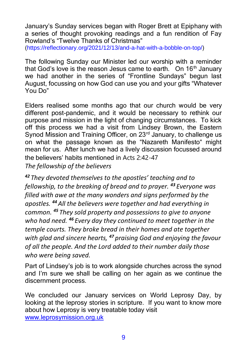January's Sunday services began with Roger Brett at Epiphany with a series of thought provoking readings and a fun rendition of Fay Rowland's "Twelve Thanks of Christmas"

(https://reflectionary.org/2021/12/13/and-a-hat-with-a-bobble-on-top/)

The following Sunday our Minister led our worship with a reminder that God's love is the reason Jesus came to earth. On  $16<sup>th</sup>$  January we had another in the series of "Frontline Sundays" begun last August, focussing on how God can use you and your gifts "Whatever You Do"

Elders realised some months ago that our church would be very different post-pandemic, and it would be necessary to rethink our purpose and mission in the light of changing circumstances. To kick off this process we had a visit from Lindsey Brown, the Eastern Synod Mission and Training Officer, on 23<sup>rd</sup> January, to challenge us on what the passage known as the "Nazareth Manifesto" might mean for us. After lunch we had a lively discussion focussed around the believers' habits mentioned in Acts 2:42-47 *The fellowship of the believers*

*<sup>42</sup> They devoted themselves to the apostles' teaching and to fellowship, to the breaking of bread and to prayer. <sup>43</sup> Everyone was filled with awe at the many wonders and signs performed by the apostles. <sup>44</sup> All the believers were together and had everything in common. <sup>45</sup> They sold property and possessions to give to anyone who had need. <sup>46</sup> Every day they continued to meet together in the temple courts. They broke bread in their homes and ate together with glad and sincere hearts, <sup>47</sup> praising God and enjoying the favour of all the people. And the Lord added to their number daily those who were being saved.*

Part of Lindsey's job is to work alongside churches across the synod and I'm sure we shall be calling on her again as we continue the discernment process.

We concluded our January services on World Leprosy Day, by looking at the leprosy stories in scripture. If you want to know more about how Leprosy is very treatable today visit [www.leprosymission.org.uk](http://www.leprosymission.org.uk/)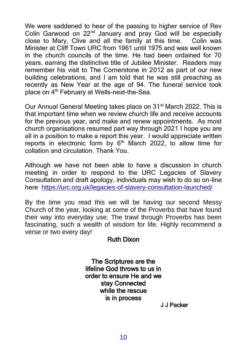We were saddened to hear of the passing to higher service of Rev Colin Garwood on 22nd January and pray God will be especially close to Mary, Clive and all the family at this time. Colin was Minister at Cliff Town URC from 1961 until 1975 and was well known in the church councils of the time. He had been ordained for 70 years, earning the distinctive title of Jubilee Minister. Readers may remember his visit to The Cornerstone in 2012 as part of our new building celebrations, and I am told that he was still preaching as recently as New Year at the age of 94. The funeral service took place on 4<sup>th</sup> February at Wells-next-the-Sea.

Our Annual General Meeting takes place on 31<sup>st</sup> March 2022. This is that important time when we review church life and receive accounts for the previous year, and make and renew appointments. As most church organisations resumed part way through 2021 I hope you are all in a position to make a report this year. I would appreciate written reports in electronic form by  $6<sup>th</sup>$  March 2022, to allow time for collation and circulation. Thank You.

Although we have not been able to have a discussion in church meeting in order to respond to the URC Legacies of Slavery Consultation and draft apology, individuals may wish to do so on-line here <https://urc.org.uk/legacies-of-slavery-consultation-launched/>

By the time you read this we will be having our second Messy Church of the year, looking at some of the Proverbs that have found their way into everyday use. The trawl through Proverbs has been fascinating, such a wealth of wisdom for life. Highly recommend a verse or two every day!

### Ruth Dixon

The Scriptures are the lifeline God throws to us in order to ensure He and we stay Connected while the rescue is in process

J J Packer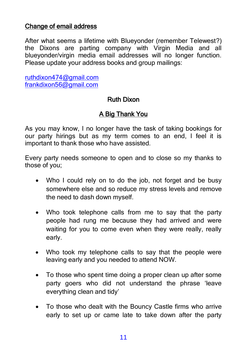### Change of email address

After what seems a lifetime with Blueyonder (remember Telewest?) the Dixons are parting company with Virgin Media and all blueyonder/virgin media email addresses will no longer function. Please update your address books and group mailings:

[ruthdixon474@gmail.com](mailto:ruthdixon474@gmail.com) [frankdixon56@gmail.com](mailto:frankdixon56@gmail.com)

### Ruth Dixon

## A Big Thank You

As you may know, I no longer have the task of taking bookings for our party hirings but as my term comes to an end, I feel it is important to thank those who have assisted.

Every party needs someone to open and to close so my thanks to those of you;

- Who I could rely on to do the job, not forget and be busy somewhere else and so reduce my stress levels and remove the need to dash down myself.
- Who took telephone calls from me to say that the party people had rung me because they had arrived and were waiting for you to come even when they were really, really early.
- Who took my telephone calls to say that the people were leaving early and you needed to attend NOW.
- To those who spent time doing a proper clean up after some party goers who did not understand the phrase 'leave everything clean and tidy'
- To those who dealt with the Bouncy Castle firms who arrive early to set up or came late to take down after the party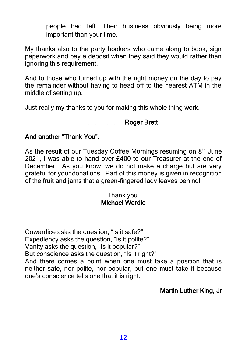people had left. Their business obviously being more important than your time.

My thanks also to the party bookers who came along to book, sign paperwork and pay a deposit when they said they would rather than ignoring this requirement.

And to those who turned up with the right money on the day to pay the remainder without having to head off to the nearest ATM in the middle of setting up.

Just really my thanks to you for making this whole thing work.

### Roger Brett

### And another "Thank You".

As the result of our Tuesday Coffee Mornings resuming on  $8<sup>th</sup>$  June 2021, I was able to hand over £400 to our Treasurer at the end of December. As you know, we do not make a charge but are very grateful for your donations. Part of this money is given in recognition of the fruit and jams that a green-fingered lady leaves behind!

### Thank you. Michael Wardle

Cowardice asks the question, "Is it safe?" Expediency asks the question, "Is it polite?" Vanity asks the question, "Is it popular?" But conscience asks the question, "Is it right?" And there comes a point when one must take a position that is neither safe, nor polite, nor popular, but one must take it because one's conscience tells one that it is right."

### Martin Luther King, Jr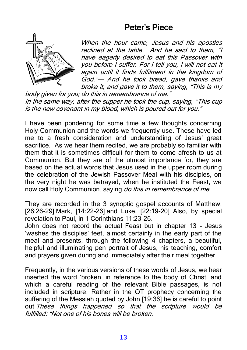# Peter's Piece



When the hour came, Jesus and his apostles reclined at the table. And he said to them, "I have eagerly desired to eat this Passover with you before I suffer. For I tell you, I will not eat it again until it finds fulfilment in the kingdom of God."--- And he took bread, gave thanks and broke it, and gave it to them, saying, "This is my

body given for you; do this in remembrance of me." In the same way, after the supper he took the cup, saying, "This cup is the new covenant in my blood, which is poured out for you."

I have been pondering for some time a few thoughts concerning Holy Communion and the words we frequently use. These have led me to a fresh consideration and understanding of Jesus' great sacrifice. As we hear them recited, we are probably so familiar with them that it is sometimes difficult for them to come afresh to us at Communion. But they are of the utmost importance for, they are based on the actual words that Jesus used in the upper room during the celebration of the Jewish Passover Meal with his disciples, on the very night he was betrayed, when he instituted the Feast, we now call Holy Communion, saying do this in remembrance of me.

They are recorded in the 3 synoptic gospel accounts of Matthew, [26:26-29] Mark, [14:22-26] and Luke, [22:19-20] Also, by special revelation to Paul, in 1 Corinthians 11:23-26.

John does not record the actual Feast but in chapter 13 - Jesus 'washes the disciples' feet, almost certainly in the early part of the meal and presents, through the following 4 chapters, a beautiful, helpful and illuminating pen portrait of Jesus, his teaching, comfort and prayers given during and immediately after their meal together.

Frequently, in the various versions of these words of Jesus, we hear inserted the word 'broken' in reference to the body of Christ, and which a careful reading of the relevant Bible passages, is not included in scripture. Rather in the OT prophecy concerning the suffering of the Messiah quoted by John [19:36] he is careful to point out These things happened so that the scripture would be fulfilled: "Not one of his bones will be broken.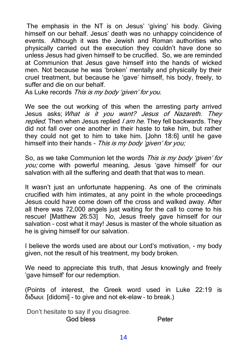The emphasis in the NT is on Jesus' 'giving' his body. Giving himself on our behalf. Jesus' death was no unhappy coincidence of events. Although it was the Jewish and Roman authorities who physically carried out the execution they couldn't have done so unless Jesus had given himself to be crucified. So, we are reminded at Communion that Jesus gave himself into the hands of wicked men. Not because he was 'broken' mentally and physically by their cruel treatment, but because he 'gave' himself, his body, freely, to suffer and die on our behalf.

As Luke records This is my body 'given' for you.

We see the out working of this when the arresting party arrived Jesus asks; What is it you want? Jesus of Nazareth. They replied. Then when Jesus replied I am he. They fell backwards. They did not fall over one another in their haste to take him, but rather they could not get to him to take him. [John 18:6] until he gave himself into their hands - This is my body 'given' for you;

So, as we take Communion let the words *This is my body 'aiven' for* you; come with powerful meaning, Jesus 'gave himself' for our salvation with all the suffering and death that that was to mean.

It wasn't just an unfortunate happening. As one of the criminals crucified with him intimates, at any point in the whole proceedings Jesus could have come down off the cross and walked away. After all there was 72,000 angels just waiting for the call to come to his rescue! [Matthew 26:53] No, Jesus freely gave himself for our salvation – cost what it may! Jesus is master of the whole situation as he is giving himself for our salvation.

I believe the words used are about our Lord's motivation, - my body given, not the result of his treatment, my body broken.

We need to appreciate this truth, that Jesus knowingly and freely 'gave himself' for our redemption.

(Points of interest, the Greek word used in Luke 22:19 is διδωυι [didomi] - to give and not ek-elaw – to break.)

Don't hesitate to say if you disagree.

God bless Peter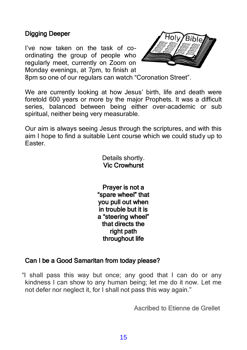### Digging Deeper

I've now taken on the task of coordinating the group of people who regularly meet, currently on Zoom on Monday evenings, at 7pm, to finish at



8pm so one of our regulars can watch "Coronation Street".

We are currently looking at how Jesus' birth, life and death were foretold 600 years or more by the major Prophets. It was a difficult series, balanced between being either over-academic or sub spiritual, neither being very measurable.

Our aim is always seeing Jesus through the scriptures, and with this aim I hope to find a suitable Lent course which we could study up to Easter.

> Details shortly. Vic Crowhurst

Prayer is not a "spare wheel" that you pull out when in trouble but it is a "steering wheel" that directs the right path throughout life

### Can I be a Good Samaritan from today please?

"I shall pass this way but once; any good that I can do or any kindness I can show to any human being; let me do it now. Let me not defer nor neglect it, for I shall not pass this way again."

Ascribed to Etienne de Grellet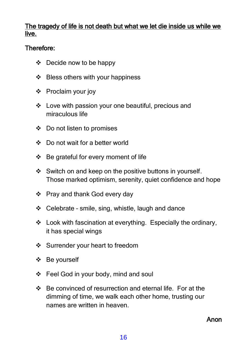### The tragedy of life is not death but what we let die inside us while we live.

### Therefore:

- ❖ Decide now to be happy
- ❖ Bless others with your happiness
- ❖ Proclaim your joy
- ❖ Love with passion your one beautiful, precious and miraculous life
- ❖ Do not listen to promises
- ❖ Do not wait for a better world
- ❖ Be grateful for every moment of life
- ❖ Switch on and keep on the positive buttons in yourself. Those marked optimism, serenity, quiet confidence and hope
- ❖ Pray and thank God every day
- ❖ Celebrate smile, sing, whistle, laugh and dance
- ❖ Look with fascination at everything. Especially the ordinary, it has special wings
- ❖ Surrender your heart to freedom
- ❖ Be yourself
- ❖ Feel God in your body, mind and soul
- ❖ Be convinced of resurrection and eternal life. For at the dimming of time, we walk each other home, trusting our names are written in heaven.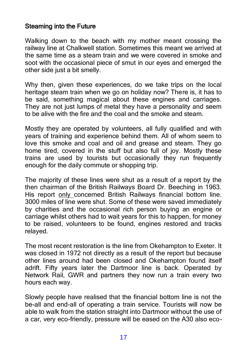### Steaming into the Future

Walking down to the beach with my mother meant crossing the railway line at Chalkwell station. Sometimes this meant we arrived at the same time as a steam train and we were covered in smoke and soot with the occasional piece of smut in our eves and emerged the other side just a bit smelly.

Why then, given these experiences, do we take trips on the local heritage steam train when we go on holiday now? There is, it has to be said, something magical about these engines and carriages. They are not just lumps of metal they have a personality and seem to be alive with the fire and the coal and the smoke and steam.

Mostly they are operated by volunteers, all fully qualified and with years of training and experience behind them. All of whom seem to love this smoke and coal and oil and grease and steam. They go home tired, covered in the stuff but also full of joy. Mostly these trains are used by tourists but occasionally they run frequently enough for the daily commute or shopping trip.

The majority of these lines were shut as a result of a report by the then chairman of the British Railways Board Dr. Beeching in 1963. His report only concerned British Railways financial bottom line. 3000 miles of line were shut. Some of these were saved immediately by charities and the occasional rich person buying an engine or carriage whilst others had to wait years for this to happen, for money to be raised, volunteers to be found, engines restored and tracks relayed.

The most recent restoration is the line from Okehampton to Exeter. It was closed in 1972 not directly as a result of the report but because other lines around had been closed and Okehampton found itself adrift. Fifty years later the Dartmoor line is back. Operated by Network Rail, GWR and partners they now run a train every two hours each way.

Slowly people have realised that the financial bottom line is not the be-all and end-all of operating a train service. Tourists will now be able to walk from the station straight into Dartmoor without the use of a car, very eco-friendly, pressure will be eased on the A30 also eco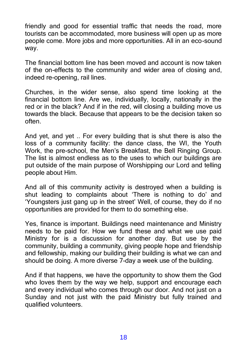friendly and good for essential traffic that needs the road, more tourists can be accommodated, more business will open up as more people come. More jobs and more opportunities. All in an eco-sound way.

The financial bottom line has been moved and account is now taken of the on-effects to the community and wider area of closing and, indeed re-opening, rail lines.

Churches, in the wider sense, also spend time looking at the financial bottom line. Are we, individually, locally, nationally in the red or in the black? And if in the red, will closing a building move us towards the black. Because that appears to be the decision taken so often.

And yet, and yet .. For every building that is shut there is also the loss of a community facility: the dance class, the WI, the Youth Work, the pre-school, the Men's Breakfast, the Bell Ringing Group. The list is almost endless as to the uses to which our buildings are put outside of the main purpose of Worshipping our Lord and telling people about Him.

And all of this community activity is destroyed when a building is shut leading to complaints about 'There is nothing to do' and 'Youngsters just gang up in the street' Well, of course, they do if no opportunities are provided for them to do something else.

Yes, finance is important. Buildings need maintenance and Ministry needs to be paid for. How we fund these and what we use paid Ministry for is a discussion for another day. But use by the community, building a community, giving people hope and friendship and fellowship, making our building their building is what we can and should be doing. A more diverse 7-day a week use of the building.

And if that happens, we have the opportunity to show them the God who loves them by the way we help, support and encourage each and every individual who comes through our door. And not just on a Sunday and not just with the paid Ministry but fully trained and qualified volunteers.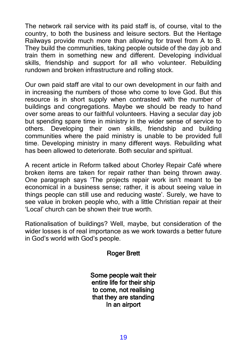The network rail service with its paid staff is, of course, vital to the country, to both the business and leisure sectors. But the Heritage Railways provide much more than allowing for travel from A to B. They build the communities, taking people outside of the day job and train them in something new and different. Developing individual skills, friendship and support for all who volunteer. Rebuilding rundown and broken infrastructure and rolling stock.

Our own paid staff are vital to our own development in our faith and in increasing the numbers of those who come to love God. But this resource is in short supply when contrasted with the number of buildings and congregations. Maybe we should be ready to hand over some areas to our faithful volunteers. Having a secular day job but spending spare time in ministry in the wider sense of service to others. Developing their own skills, friendship and building communities where the paid ministry is unable to be provided full time. Developing ministry in many different ways. Rebuilding what has been allowed to deteriorate. Both secular and spiritual.

A recent article in Reform talked about Chorley Repair Café where broken items are taken for repair rather than being thrown away. One paragraph says 'The projects repair work isn't meant to be economical in a business sense; rather, it is about seeing value in things people can still use and reducing waste'. Surely, we have to see value in broken people who, with a little Christian repair at their 'Local' church can be shown their true worth.

Rationalisation of buildings? Well, maybe, but consideration of the wider losses is of real importance as we work towards a better future in God's world with God's people.

### Roger Brett

Some people wait their entire life for their ship to come, not realising that they are standing In an airport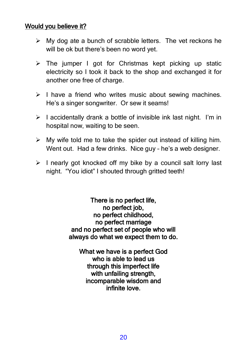### Would you believe it?

- $\triangleright$  My dog ate a bunch of scrabble letters. The vet reckons he will be ok but there's been no word yet.
- ➢ The jumper I got for Christmas kept picking up static electricity so I took it back to the shop and exchanged it for another one free of charge.
- ➢ I have a friend who writes music about sewing machines. He's a singer songwriter. Or sew it seams!
- $\triangleright$  I accidentally drank a bottle of invisible ink last night. I'm in hospital now, waiting to be seen.
- $\triangleright$  My wife told me to take the spider out instead of killing him. Went out. Had a few drinks. Nice guy – he's a web designer.
- ➢ I nearly got knocked off my bike by a council salt lorry last night. "You idiot" I shouted through gritted teeth!

There is no perfect life, no perfect job, no perfect childhood, no perfect marriage and no perfect set of people who will always do what we expect them to do.

What we have is a perfect God who is able to lead us through this imperfect life with unfailing strength, incomparable wisdom and infinite love.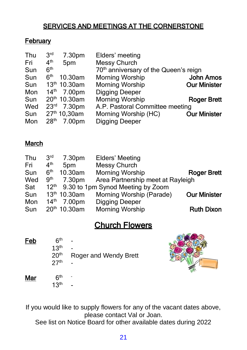# SERVICES AND MEETINGS AT THE CORNERSTONE

## **February**

| 3 <sup>rd</sup><br>7.30pm  | Elders' meeting                                   |                     |
|----------------------------|---------------------------------------------------|---------------------|
| 4 <sup>th</sup><br>5pm     | <b>Messy Church</b>                               |                     |
| 6 <sup>th</sup>            | 70 <sup>th</sup> anniversary of the Queen's reign |                     |
| 6 <sup>th</sup><br>10.30am | <b>Morning Worship</b>                            | <b>John Amos</b>    |
| $13th 10.30$ am            | <b>Morning Worship</b>                            | <b>Our Minister</b> |
| 14 <sup>th</sup><br>7.00pm | <b>Digging Deeper</b>                             |                     |
| 20th 10.30am               | <b>Morning Worship</b>                            | <b>Roger Brett</b>  |
| $23^{rd}$ 7.30pm           | A.P. Pastoral Committee meeting                   |                     |
| 27 <sup>th</sup> 10,30am   | Morning Worship (HC)                              | <b>Our Minister</b> |
| 28 <sup>th</sup><br>7.00pm | <b>Digging Deeper</b>                             |                     |
|                            |                                                   |                     |

### March

| Thu | 3 <sup>rd</sup>  | 7.30pm          | Elders' Meeting                   |                     |
|-----|------------------|-----------------|-----------------------------------|---------------------|
| Fri | 4 <sup>th</sup>  | 5pm             | Messy Church                      |                     |
| Sun | 6 <sup>th</sup>  | 10.30am         | <b>Morning Worship</b>            | <b>Roger Brett</b>  |
| Wed | 9 <sup>th</sup>  | 7.30pm          | Area Partnership meet at Rayleigh |                     |
| Sat | $12^{\text{th}}$ |                 | 9.30 to 1pm Synod Meeting by Zoom |                     |
| Sun |                  | 13th 10.30am    | Morning Worship (Parade)          | <b>Our Minister</b> |
| Mon | 14 <sup>th</sup> | 7.00pm          | <b>Digging Deeper</b>             |                     |
| Sun |                  | $20th 10.30$ am | <b>Morning Worship</b>            | <b>Ruth Dixon</b>   |

# Church Flowers

| Feb | 6 <sup>th</sup><br>13 <sup>th</sup><br>20 <sup>th</sup><br>27 <sup>th</sup> | Roger and Wendy Brett |
|-----|-----------------------------------------------------------------------------|-----------------------|
| Mar | 6 <sup>th</sup><br>13 <sup>th</sup>                                         |                       |



If you would like to supply flowers for any of the vacant dates above, please contact Val or Joan.

See list on Notice Board for other available dates during 2022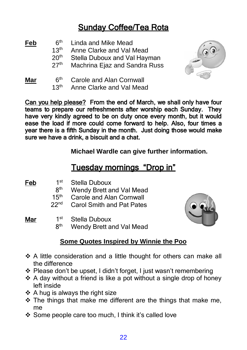# Sunday Coffee/Tea Rota

- $\frac{\text{Feb}}{13^{\text{th}}}$ Linda and Mike Mead
	- $13<sup>th</sup>$  Anne Clarke and Val Mead<br> $20<sup>th</sup>$  Stella Duboux and Val Havi
	- $20<sup>th</sup>$  Stella Duboux and Val Hayman<br>27<sup>th</sup> Machrina Fiaz and Sandra Russ
	- Machrina Ejaz and Sandra Russ
- $\frac{\text{Mar}}{13}$  6<sup>th</sup> Carole and Alan Cornwall Anne Clarke and Val Mead

Can you help please? From the end of March, we shall only have four teams to prepare our refreshments after worship each Sunday. They have very kindly agreed to be on duty once every month, but it would ease the load if more could come forward to help. Also, four times a year there is a fifth Sunday in the month. Just doing those would make sure we have a drink, a biscuit and a chat.

**Michael Wardle can give further information.**

# Tuesday mornings "Drop in"

Feb  $1<sup>st</sup>$ Stella Duboux

- 8<sup>th</sup> Wendy Brett and Val Mead
- $15^{th}$ <br>22<sup>nd</sup> Carole and Alan Cornwall
- Carol Smith and Pat Pates

Mar  $1^{\text{st}}$ 

- Stella Duboux
- 8<sup>th</sup> Wendy Brett and Val Mead



## **Some Quotes Inspired by Winnie the Poo**

- ❖ A little consideration and a little thought for others can make all the difference
- ❖ Please don't be upset, I didn't forget, I just wasn't remembering
- ❖ A day without a friend is like a pot without a single drop of honey left inside
- ❖ A hug is always the right size
- ❖ The things that make me different are the things that make me, me
- ❖ Some people care too much, I think it's called love

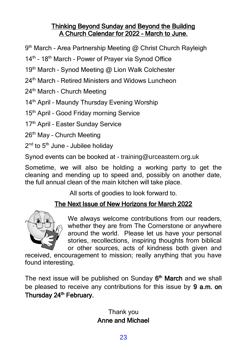### Thinking Beyond Sunday and Beyond the Building A Church Calendar for 2022 – March to June.

9 th March – Area Partnership Meeting @ Christ Church Rayleigh

14<sup>th</sup> - 18<sup>th</sup> March - Power of Prayer via Synod Office

19<sup>th</sup> March - Synod Meeting @ Lion Walk Colchester

- 24<sup>th</sup> March Retired Ministers and Widows Luncheon
- $24<sup>th</sup>$  March Church Meeting

14<sup>th</sup> April - Maundy Thursday Evening Worship

15<sup>th</sup> April - Good Friday morning Service

17<sup>th</sup> April - Easter Sunday Service

26th May – Church Meeting

2<sup>nd</sup> to 5<sup>th</sup> June - Jubilee holiday

Synod events can be booked at - training@urceastern.org.uk

Sometime, we will also be holding a working party to get the cleaning and mending up to speed and, possibly on another date, the full annual clean of the main kitchen will take place.

All sorts of goodies to look forward to.

## The Next Issue of New Horizons for March 2022



We always welcome contributions from our readers, whether they are from The Cornerstone or anywhere around the world. Please let us have your personal stories, recollections, inspiring thoughts from biblical or other sources, acts of kindness both given and

received, encouragement to mission; really anything that you have found interesting.

The next issue will be published on Sunday 6<sup>th</sup> March and we shall be pleased to receive any contributions for this issue by 9 a.m. on Thursday 24<sup>th</sup> February.

## Thank you Anne and Michael